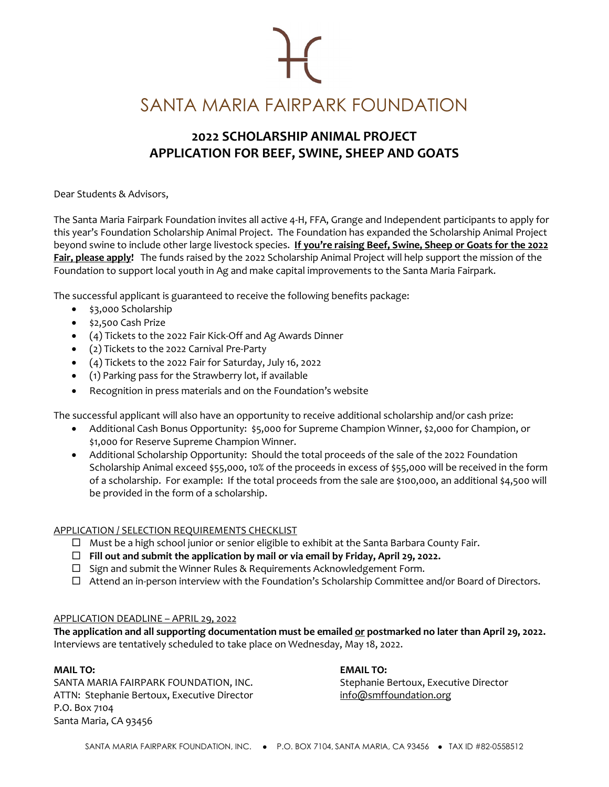SANTA MARIA FAIRPARK FOUNDATION

## **2022 SCHOLARSHIP ANIMAL PROJECT APPLICATION FOR BEEF, SWINE, SHEEP AND GOATS**

Dear Students & Advisors,

The Santa Maria Fairpark Foundation invites all active 4-H, FFA, Grange and Independent participants to apply for this year's Foundation Scholarship Animal Project. The Foundation has expanded the Scholarship Animal Project beyond swine to include other large livestock species. **If you're raising Beef, Swine, Sheep or Goats for the 2022 Fair, please apply!** The funds raised by the 2022 Scholarship Animal Project will help support the mission of the Foundation to support local youth in Ag and make capital improvements to the Santa Maria Fairpark.

The successful applicant is guaranteed to receive the following benefits package:

- \$3,000 Scholarship
- \$2,500 Cash Prize
- (4) Tickets to the 2022 Fair Kick-Off and Ag Awards Dinner
- (2) Tickets to the 2022 Carnival Pre-Party
- (4) Tickets to the 2022 Fair for Saturday, July 16, 2022
- (1) Parking pass for the Strawberry lot, if available
- Recognition in press materials and on the Foundation's website

The successful applicant will also have an opportunity to receive additional scholarship and/or cash prize:

- Additional Cash Bonus Opportunity: \$5,000 for Supreme Champion Winner, \$2,000 for Champion, or \$1,000 for Reserve Supreme Champion Winner.
- Additional Scholarship Opportunity: Should the total proceeds of the sale of the 2022 Foundation Scholarship Animal exceed \$55,000, 10% of the proceeds in excess of \$55,000 will be received in the form of a scholarship. For example: If the total proceeds from the sale are \$100,000, an additional \$4,500 will be provided in the form of a scholarship.

### APPLICATION / SELECTION REQUIREMENTS CHECKLIST

- $\Box$  Must be a high school junior or senior eligible to exhibit at the Santa Barbara County Fair.
- **Fill out and submit the application by mail or via email by Friday, April 29, 2022.**
- $\square$  Sign and submit the Winner Rules & Requirements Acknowledgement Form.
- $\Box$  Attend an in-person interview with the Foundation's Scholarship Committee and/or Board of Directors.

## APPLICATION DEADLINE – APRIL 29, 2022

**The application and all supporting documentation must be emailed or postmarked no later than April 29, 2022.** Interviews are tentatively scheduled to take place on Wednesday, May 18, 2022.

### **MAIL TO: EMAIL TO:**

SANTA MARIA FAIRPARK FOUNDATION, INC. Stephanie Bertoux, Executive Director ATTN: Stephanie Bertoux, Executive Director info@smffoundation.org P.O. Box 7104 Santa Maria, CA 93456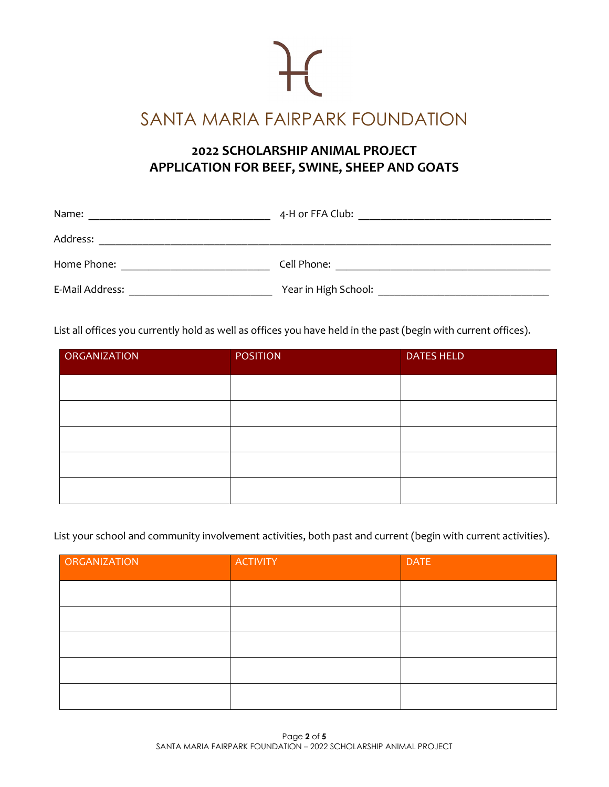

# **2022 SCHOLARSHIP ANIMAL PROJECT APPLICATION FOR BEEF, SWINE, SHEEP AND GOATS**

| Name:           | 4-H or FFA Club:     |
|-----------------|----------------------|
| Address:        |                      |
| Home Phone:     | Cell Phone:          |
| E-Mail Address: | Year in High School: |

List all offices you currently hold as well as offices you have held in the past (begin with current offices).

| <b>ORGANIZATION</b> | <b>POSITION</b> | <b>DATES HELD</b> |
|---------------------|-----------------|-------------------|
|                     |                 |                   |
|                     |                 |                   |
|                     |                 |                   |
|                     |                 |                   |
|                     |                 |                   |

List your school and community involvement activities, both past and current (begin with current activities).

| ORGANIZATION | <b>ACTIVITY</b> | <b>DATE</b> |
|--------------|-----------------|-------------|
|              |                 |             |
|              |                 |             |
|              |                 |             |
|              |                 |             |
|              |                 |             |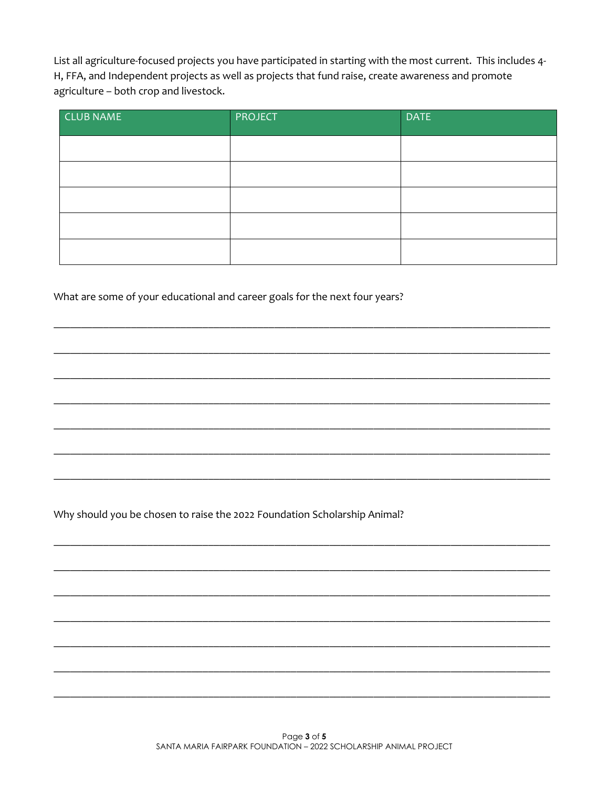List all agriculture-focused projects you have participated in starting with the most current. This includes 4-H, FFA, and Independent projects as well as projects that fund raise, create awareness and promote agriculture - both crop and livestock.

| <b>CLUB NAME</b> | <b>PROJECT</b> | <b>DATE</b> |
|------------------|----------------|-------------|
|                  |                |             |
|                  |                |             |
|                  |                |             |
|                  |                |             |
|                  |                |             |

What are some of your educational and career goals for the next four years?

Why should you be chosen to raise the 2022 Foundation Scholarship Animal?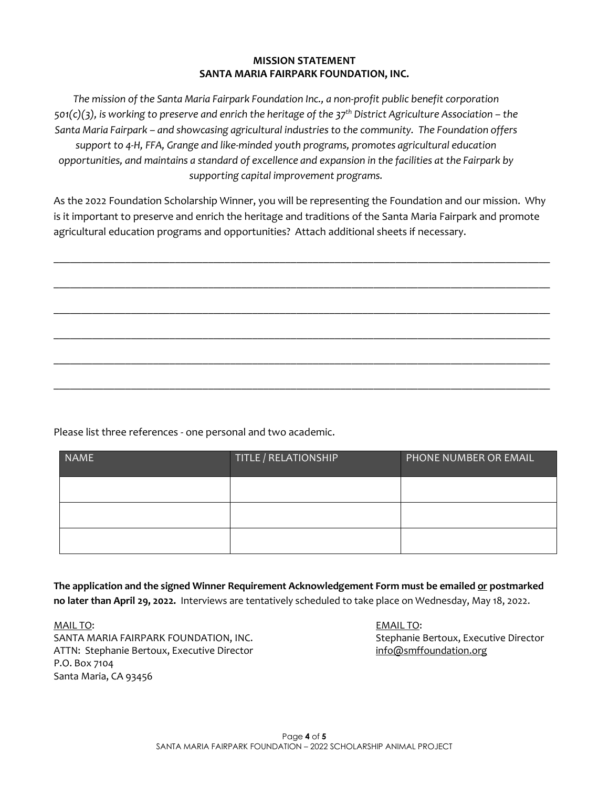### **MISSION STATEMENT SANTA MARIA FAIRPARK FOUNDATION, INC.**

*The mission of the Santa Maria Fairpark Foundation Inc., a non-profit public benefit corporation 501(c)(3), is working to preserve and enrich the heritage of the 37th District Agriculture Association – the Santa Maria Fairpark – and showcasing agricultural industries to the community. The Foundation offers support to 4-H, FFA, Grange and like-minded youth programs, promotes agricultural education opportunities, and maintains a standard of excellence and expansion in the facilities at the Fairpark by supporting capital improvement programs.*

As the 2022 Foundation Scholarship Winner, you will be representing the Foundation and our mission. Why is it important to preserve and enrich the heritage and traditions of the Santa Maria Fairpark and promote agricultural education programs and opportunities? Attach additional sheets if necessary.

 $\_$  , and the set of the set of the set of the set of the set of the set of the set of the set of the set of the set of the set of the set of the set of the set of the set of the set of the set of the set of the set of th

 $\_$  , and the set of the set of the set of the set of the set of the set of the set of the set of the set of the set of the set of the set of the set of the set of the set of the set of the set of the set of the set of th

 $\_$  , and the contribution of the contribution of the contribution of the contribution of the contribution of  $\mathcal{L}_\text{max}$ 

 $\_$  , and the contribution of the contribution of the contribution of the contribution of the contribution of  $\mathcal{L}_\text{max}$ 

 $\_$  , and the contribution of the contribution of the contribution of the contribution of the contribution of  $\mathcal{L}_\text{max}$ 

 $\_$  , and the contribution of the contribution of the contribution of the contribution of the contribution of  $\mathcal{L}_\text{max}$ 

Please list three references - one personal and two academic.

| <b>NAME</b> | TITLE / RELATIONSHIP | PHONE NUMBER OR EMAIL |
|-------------|----------------------|-----------------------|
|             |                      |                       |
|             |                      |                       |
|             |                      |                       |

**The application and the signed Winner Requirement Acknowledgement Form must be emailed or postmarked no later than April 29, 2022.** Interviews are tentatively scheduled to take place on Wednesday, May 18, 2022.

MAIL TO: EMAIL TO: SANTA MARIA FAIRPARK FOUNDATION, INC. Stephanie Bertoux, Executive Director ATTN: Stephanie Bertoux, Executive Director info@smffoundation.org P.O. Box 7104 Santa Maria, CA 93456